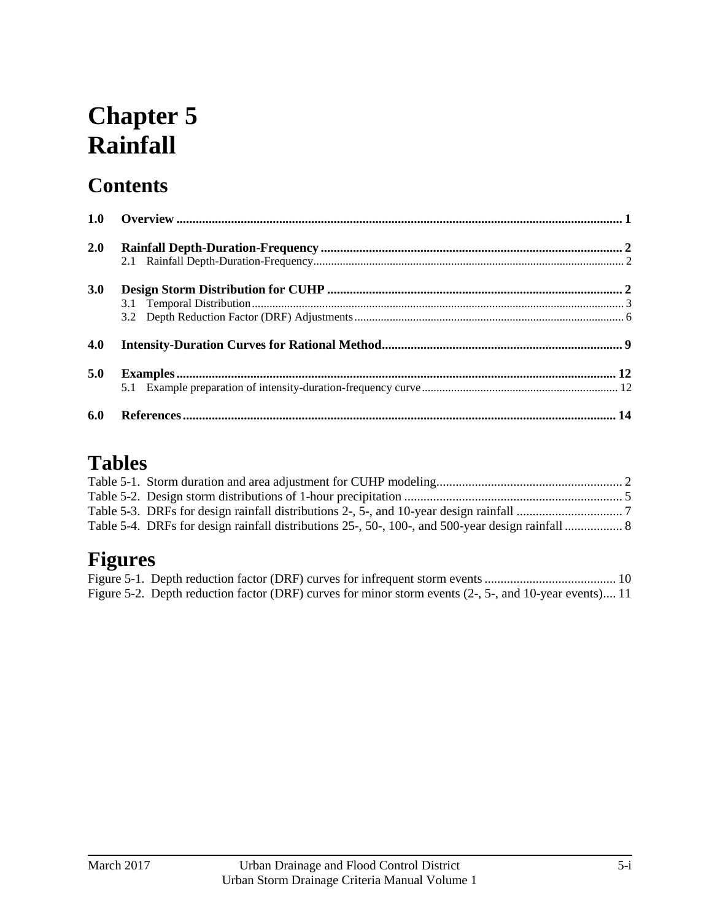# **Chapter 5 Rainfall**

# **Contents**

| 1.0 |  |
|-----|--|
| 2.0 |  |
|     |  |
| 3.0 |  |
|     |  |
|     |  |
| 4.0 |  |
| 5.0 |  |
|     |  |
| 6.0 |  |

# **Tables**

| Table 5-4. DRFs for design rainfall distributions 25-, 50-, 100-, and 500-year design rainfall  8 |  |
|---------------------------------------------------------------------------------------------------|--|

# **Figures**

| Figure 5-2. Depth reduction factor (DRF) curves for minor storm events (2-, 5-, and 10-year events) 11 |  |
|--------------------------------------------------------------------------------------------------------|--|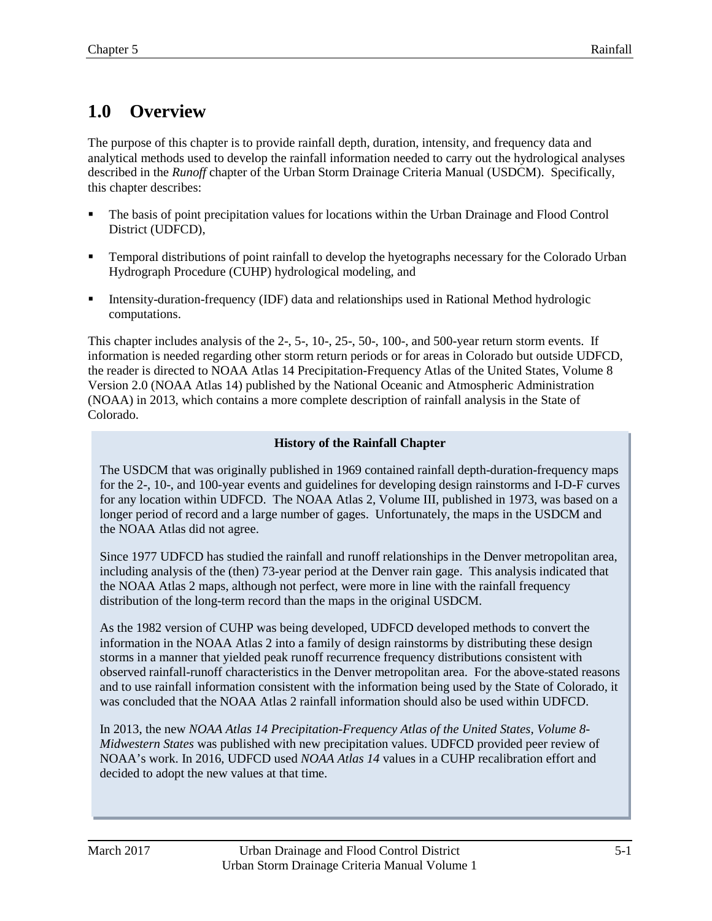# <span id="page-2-0"></span>**1.0 Overview**

The purpose of this chapter is to provide rainfall depth, duration, intensity, and frequency data and analytical methods used to develop the rainfall information needed to carry out the hydrological analyses described in the *Runoff* chapter of the Urban Storm Drainage Criteria Manual (USDCM). Specifically, this chapter describes:

- The basis of point precipitation values for locations within the Urban Drainage and Flood Control District (UDFCD),
- Temporal distributions of point rainfall to develop the hyetographs necessary for the Colorado Urban Hydrograph Procedure (CUHP) hydrological modeling, and
- **Intensity-duration-frequency (IDF) data and relationships used in Rational Method hydrologic** computations.

This chapter includes analysis of the 2-, 5-, 10-, 25-, 50-, 100-, and 500-year return storm events. If information is needed regarding other storm return periods or for areas in Colorado but outside UDFCD, the reader is directed to NOAA Atlas 14 Precipitation-Frequency Atlas of the United States, Volume 8 Version 2.0 (NOAA Atlas 14) published by the National Oceanic and Atmospheric Administration (NOAA) in 2013, which contains a more complete description of rainfall analysis in the State of Colorado.

#### **History of the Rainfall Chapter**

The USDCM that was originally published in 1969 contained rainfall depth-duration-frequency maps for the 2-, 10-, and 100-year events and guidelines for developing design rainstorms and I-D-F curves for any location within UDFCD. The NOAA Atlas 2, Volume III, published in 1973, was based on a longer period of record and a large number of gages. Unfortunately, the maps in the USDCM and the NOAA Atlas did not agree.

Since 1977 UDFCD has studied the rainfall and runoff relationships in the Denver metropolitan area, including analysis of the (then) 73-year period at the Denver rain gage. This analysis indicated that the NOAA Atlas 2 maps, although not perfect, were more in line with the rainfall frequency distribution of the long-term record than the maps in the original USDCM.

As the 1982 version of CUHP was being developed, UDFCD developed methods to convert the information in the NOAA Atlas 2 into a family of design rainstorms by distributing these design storms in a manner that yielded peak runoff recurrence frequency distributions consistent with observed rainfall-runoff characteristics in the Denver metropolitan area. For the above-stated reasons and to use rainfall information consistent with the information being used by the State of Colorado, it was concluded that the NOAA Atlas 2 rainfall information should also be used within UDFCD.

In 2013, the new *NOAA Atlas 14 Precipitation-Frequency Atlas of the United States, Volume 8- Midwestern States* was published with new precipitation values. UDFCD provided peer review of NOAA's work. In 2016, UDFCD used *NOAA Atlas 14* values in a CUHP recalibration effort and decided to adopt the new values at that time.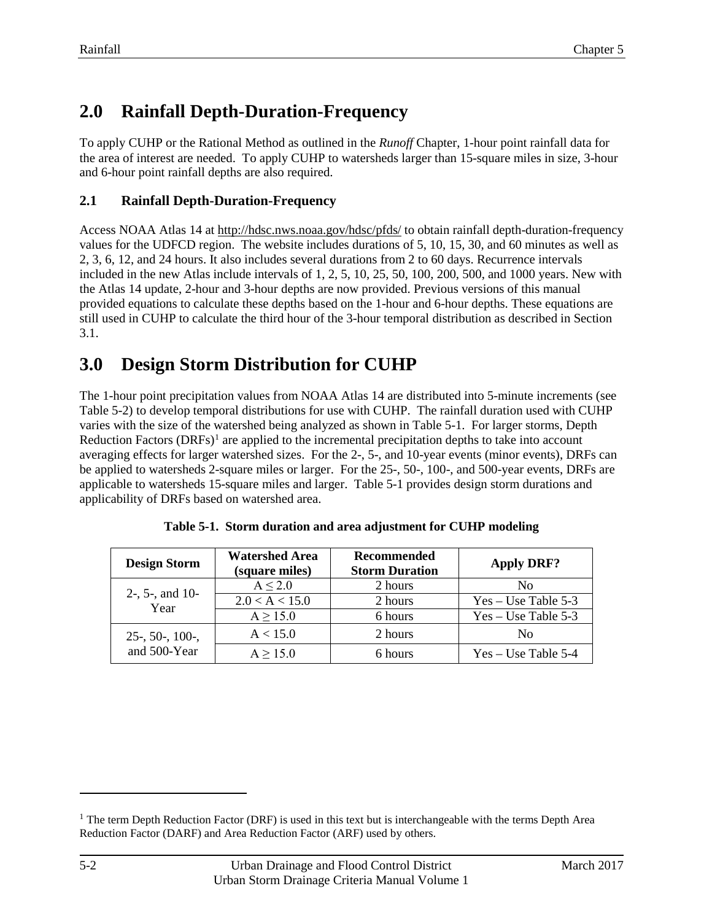# <span id="page-3-0"></span>**2.0 Rainfall Depth-Duration-Frequency**

To apply CUHP or the Rational Method as outlined in the *Runoff* Chapter, 1-hour point rainfall data for the area of interest are needed. To apply CUHP to watersheds larger than 15-square miles in size, 3-hour and 6-hour point rainfall depths are also required.

#### <span id="page-3-1"></span>**2.1 Rainfall Depth-Duration-Frequency**

Access NOAA Atlas 14 at<http://hdsc.nws.noaa.gov/hdsc/pfds/> to obtain rainfall depth-duration-frequency values for the UDFCD region. The website includes durations of 5, 10, 15, 30, and 60 minutes as well as 2, 3, 6, 12, and 24 hours. It also includes several durations from 2 to 60 days. Recurrence intervals included in the new Atlas include intervals of 1, 2, 5, 10, 25, 50, 100, 200, 500, and 1000 years. New with the Atlas 14 update, 2-hour and 3-hour depths are now provided. Previous versions of this manual provided equations to calculate these depths based on the 1-hour and 6-hour depths. These equations are still used in CUHP to calculate the third hour of the 3-hour temporal distribution as described in Section 3.1.

### <span id="page-3-2"></span>**3.0 Design Storm Distribution for CUHP**

The 1-hour point precipitation values from NOAA Atlas 14 are distributed into 5-minute increments (see Table 5-2) to develop temporal distributions for use with CUHP. The rainfall duration used with CUHP varies with the size of the watershed being analyzed as shown in Table 5-1. For larger storms, Depth Reduction Factors  $(DRFs)^{1}$  $(DRFs)^{1}$  $(DRFs)^{1}$  are applied to the incremental precipitation depths to take into account averaging effects for larger watershed sizes. For the 2-, 5-, and 10-year events (minor events), DRFs can be applied to watersheds 2-square miles or larger. For the 25-, 50-, 100-, and 500-year events, DRFs are applicable to watersheds 15-square miles and larger. Table 5-1 provides design storm durations and applicability of DRFs based on watershed area.

<span id="page-3-3"></span>

| <b>Design Storm</b>        | <b>Watershed Area</b><br>(square miles) | <b>Recommended</b><br><b>Storm Duration</b> | <b>Apply DRF?</b>     |
|----------------------------|-----------------------------------------|---------------------------------------------|-----------------------|
|                            | A < 2.0                                 | 2 hours                                     | Nο                    |
| $2-$ , 5-, and 10-<br>Year | 2.0 < A < 15.0                          | 2 hours                                     | $Yes - Use Table 5-3$ |
|                            | $A \ge 15.0$                            | 6 hours                                     | $Yes - Use Table 5-3$ |
| $25-$ , 50-, 100-,         | A < 15.0                                | 2 hours                                     | No                    |
| and 500-Year               | $A \ge 15.0$                            | 6 hours                                     | $Yes - Use Table 5-4$ |

|  |  |  |  | Table 5-1. Storm duration and area adjustment for CUHP modeling |  |  |
|--|--|--|--|-----------------------------------------------------------------|--|--|
|--|--|--|--|-----------------------------------------------------------------|--|--|

 $\overline{a}$ 

<span id="page-3-4"></span><sup>&</sup>lt;sup>1</sup> The term Depth Reduction Factor (DRF) is used in this text but is interchangeable with the terms Depth Area Reduction Factor (DARF) and Area Reduction Factor (ARF) used by others.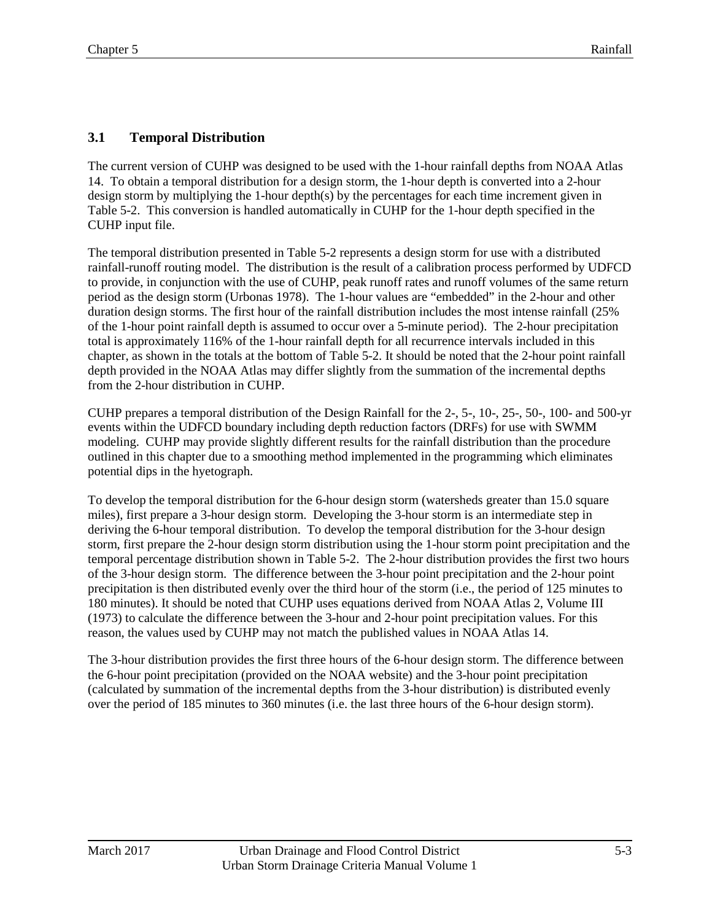#### <span id="page-4-0"></span>**3.1 Temporal Distribution**

The current version of CUHP was designed to be used with the 1-hour rainfall depths from NOAA Atlas 14. To obtain a temporal distribution for a design storm, the 1-hour depth is converted into a 2-hour design storm by multiplying the 1-hour depth(s) by the percentages for each time increment given in Table 5-2. This conversion is handled automatically in CUHP for the 1-hour depth specified in the CUHP input file.

The temporal distribution presented in Table 5-2 represents a design storm for use with a distributed rainfall-runoff routing model. The distribution is the result of a calibration process performed by UDFCD to provide, in conjunction with the use of CUHP, peak runoff rates and runoff volumes of the same return period as the design storm (Urbonas 1978). The 1-hour values are "embedded" in the 2-hour and other duration design storms. The first hour of the rainfall distribution includes the most intense rainfall (25% of the 1-hour point rainfall depth is assumed to occur over a 5-minute period). The 2-hour precipitation total is approximately 116% of the 1-hour rainfall depth for all recurrence intervals included in this chapter, as shown in the totals at the bottom of Table 5-2. It should be noted that the 2-hour point rainfall depth provided in the NOAA Atlas may differ slightly from the summation of the incremental depths from the 2-hour distribution in CUHP.

CUHP prepares a temporal distribution of the Design Rainfall for the 2-, 5-, 10-, 25-, 50-, 100- and 500-yr events within the UDFCD boundary including depth reduction factors (DRFs) for use with SWMM modeling. CUHP may provide slightly different results for the rainfall distribution than the procedure outlined in this chapter due to a smoothing method implemented in the programming which eliminates potential dips in the hyetograph.

To develop the temporal distribution for the 6-hour design storm (watersheds greater than 15.0 square miles), first prepare a 3-hour design storm. Developing the 3-hour storm is an intermediate step in deriving the 6-hour temporal distribution. To develop the temporal distribution for the 3-hour design storm, first prepare the 2-hour design storm distribution using the 1-hour storm point precipitation and the temporal percentage distribution shown in Table 5-2. The 2-hour distribution provides the first two hours of the 3-hour design storm. The difference between the 3-hour point precipitation and the 2-hour point precipitation is then distributed evenly over the third hour of the storm (i.e., the period of 125 minutes to 180 minutes). It should be noted that CUHP uses equations derived from NOAA Atlas 2, Volume III (1973) to calculate the difference between the 3-hour and 2-hour point precipitation values. For this reason, the values used by CUHP may not match the published values in NOAA Atlas 14.

The 3-hour distribution provides the first three hours of the 6-hour design storm. The difference between the 6-hour point precipitation (provided on the NOAA website) and the 3-hour point precipitation (calculated by summation of the incremental depths from the 3-hour distribution) is distributed evenly over the period of 185 minutes to 360 minutes (i.e. the last three hours of the 6-hour design storm).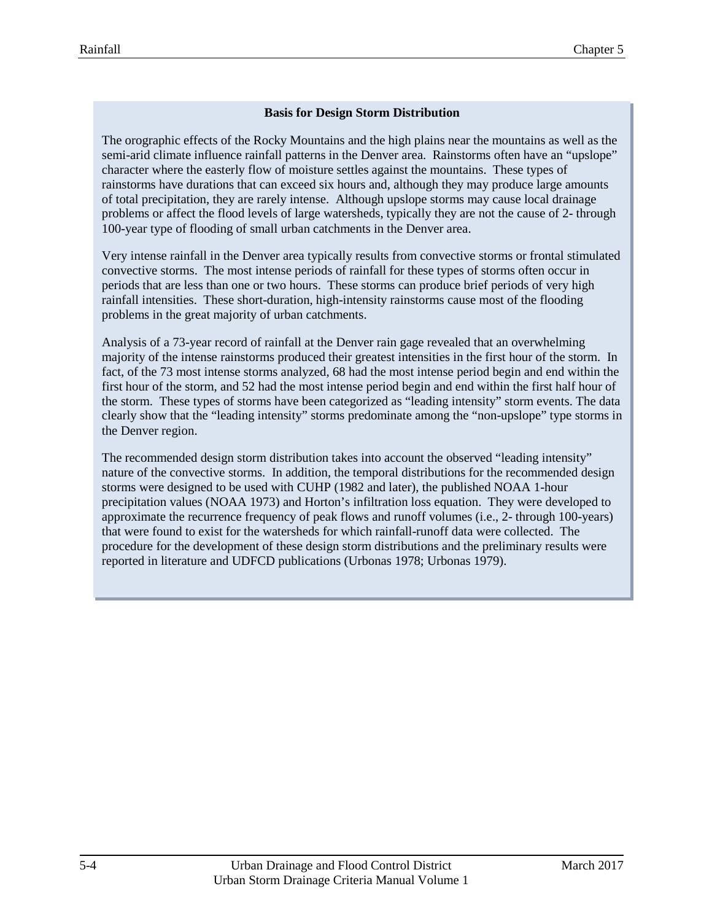#### **Basis for Design Storm Distribution**

The orographic effects of the Rocky Mountains and the high plains near the mountains as well as the semi-arid climate influence rainfall patterns in the Denver area. Rainstorms often have an "upslope" character where the easterly flow of moisture settles against the mountains. These types of rainstorms have durations that can exceed six hours and, although they may produce large amounts of total precipitation, they are rarely intense. Although upslope storms may cause local drainage problems or affect the flood levels of large watersheds, typically they are not the cause of 2- through 100-year type of flooding of small urban catchments in the Denver area.

Very intense rainfall in the Denver area typically results from convective storms or frontal stimulated convective storms. The most intense periods of rainfall for these types of storms often occur in periods that are less than one or two hours. These storms can produce brief periods of very high rainfall intensities. These short-duration, high-intensity rainstorms cause most of the flooding problems in the great majority of urban catchments.

Analysis of a 73-year record of rainfall at the Denver rain gage revealed that an overwhelming majority of the intense rainstorms produced their greatest intensities in the first hour of the storm. In fact, of the 73 most intense storms analyzed, 68 had the most intense period begin and end within the first hour of the storm, and 52 had the most intense period begin and end within the first half hour of the storm. These types of storms have been categorized as "leading intensity" storm events. The data clearly show that the "leading intensity" storms predominate among the "non-upslope" type storms in the Denver region.

The recommended design storm distribution takes into account the observed "leading intensity" nature of the convective storms. In addition, the temporal distributions for the recommended design storms were designed to be used with CUHP (1982 and later), the published NOAA 1-hour precipitation values (NOAA 1973) and Horton's infiltration loss equation. They were developed to approximate the recurrence frequency of peak flows and runoff volumes (i.e., 2- through 100-years) that were found to exist for the watersheds for which rainfall-runoff data were collected. The procedure for the development of these design storm distributions and the preliminary results were reported in literature and UDFCD publications (Urbonas 1978; Urbonas 1979).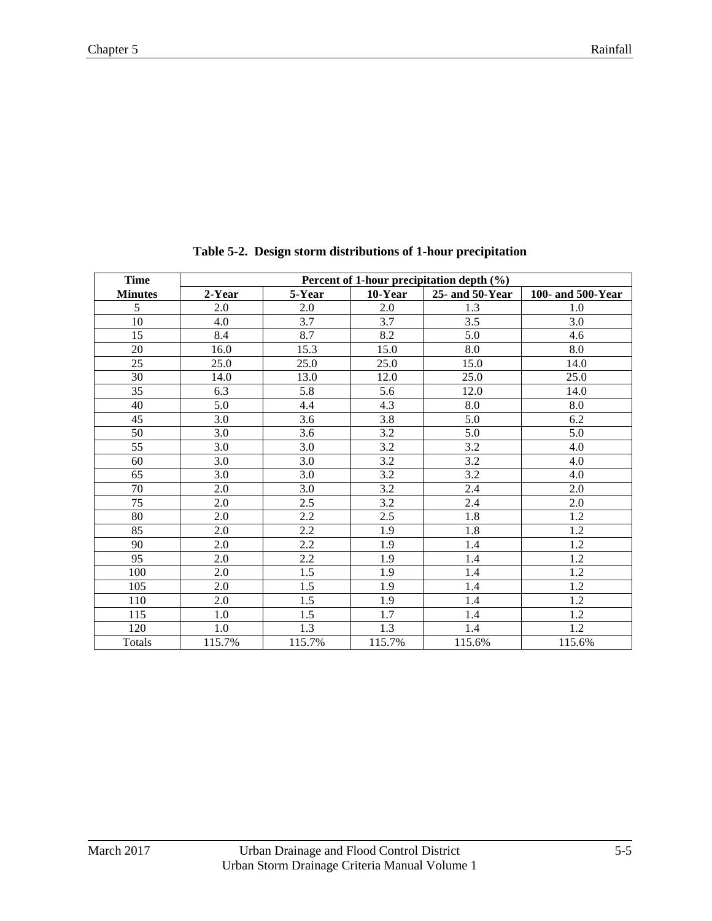<span id="page-6-0"></span>

| <b>Time</b>    |        |                  |         | Percent of 1-hour precipitation depth (%) |                   |  |  |  |  |
|----------------|--------|------------------|---------|-------------------------------------------|-------------------|--|--|--|--|
| <b>Minutes</b> | 2-Year | 5-Year           | 10-Year | $25$ - and $50$ -Year                     | 100- and 500-Year |  |  |  |  |
| 5              | 2.0    | 2.0              | 2.0     | 1.3                                       | 1.0               |  |  |  |  |
| 10             | 4.0    | 3.7              | 3.7     | 3.5                                       | 3.0               |  |  |  |  |
| 15             | 8.4    | 8.7              | 8.2     | 5.0                                       | 4.6               |  |  |  |  |
| 20             | 16.0   | 15.3             | 15.0    | 8.0                                       | 8.0               |  |  |  |  |
| 25             | 25.0   | 25.0             | 25.0    | 15.0                                      | 14.0              |  |  |  |  |
| 30             | 14.0   | 13.0             | 12.0    | 25.0                                      | 25.0              |  |  |  |  |
| 35             | 6.3    | 5.8              | 5.6     | 12.0                                      | 14.0              |  |  |  |  |
| 40             | 5.0    | 4.4              | 4.3     | 8.0                                       | 8.0               |  |  |  |  |
| 45             | 3.0    | 3.6              | 3.8     | 5.0                                       | 6.2               |  |  |  |  |
| 50             | 3.0    | 3.6              | 3.2     | 5.0                                       | 5.0               |  |  |  |  |
| 55             | 3.0    | 3.0              | 3.2     | 3.2                                       | 4.0               |  |  |  |  |
| 60             | 3.0    | 3.0              | 3.2     | 3.2                                       | 4.0               |  |  |  |  |
| 65             | 3.0    | 3.0              | 3.2     | 3.2                                       | 4.0               |  |  |  |  |
| 70             | 2.0    | 3.0              | 3.2     | 2.4                                       | 2.0               |  |  |  |  |
| 75             | 2.0    | 2.5              | 3.2     | 2.4                                       | 2.0               |  |  |  |  |
| 80             | 2.0    | 2.2              | 2.5     | 1.8                                       | 1.2               |  |  |  |  |
| 85             | 2.0    | 2.2              | 1.9     | 1.8                                       | 1.2               |  |  |  |  |
| 90             | 2.0    | 2.2              | 1.9     | 1.4                                       | 1.2               |  |  |  |  |
| 95             | 2.0    | 2.2              | 1.9     | 1.4                                       | 1.2               |  |  |  |  |
| 100            | 2.0    | $\overline{1.5}$ | 1.9     | 1.4                                       | 1.2               |  |  |  |  |
| 105            | 2.0    | 1.5              | 1.9     | 1.4                                       | 1.2               |  |  |  |  |
| 110            | 2.0    | 1.5              | 1.9     | 1.4                                       | 1.2               |  |  |  |  |
| 115            | 1.0    | 1.5              | 1.7     | 1.4                                       | 1.2               |  |  |  |  |
| 120            | 1.0    | 1.3              | 1.3     | 1.4                                       | 1.2               |  |  |  |  |
| <b>Totals</b>  | 115.7% | 115.7%           | 115.7%  | 115.6%                                    | 115.6%            |  |  |  |  |

**Table 5-2. Design storm distributions of 1-hour precipitation**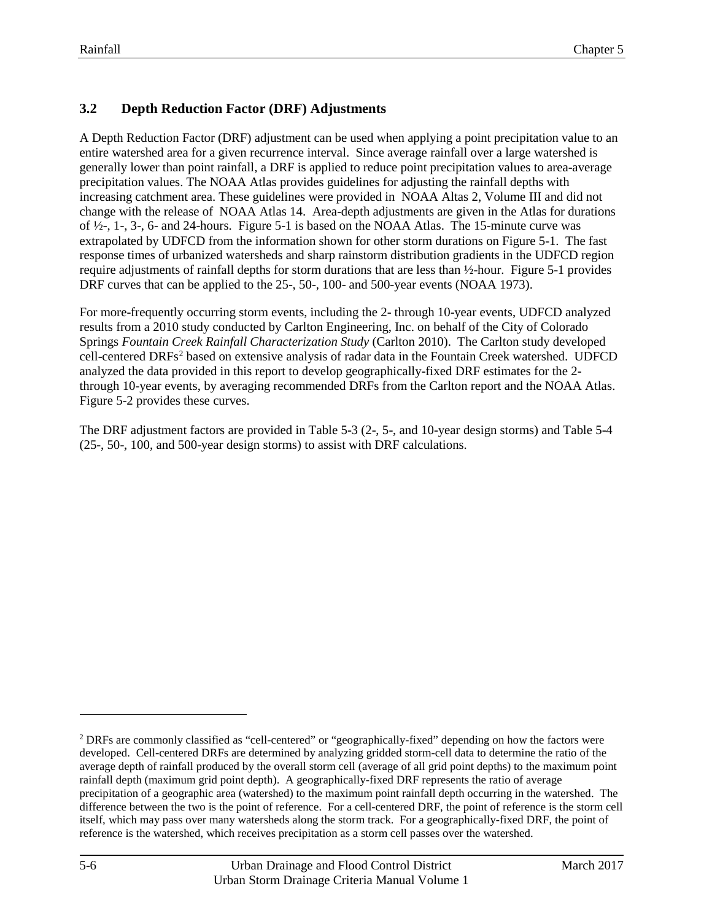#### <span id="page-7-0"></span>**3.2 Depth Reduction Factor (DRF) Adjustments**

A Depth Reduction Factor (DRF) adjustment can be used when applying a point precipitation value to an entire watershed area for a given recurrence interval. Since average rainfall over a large watershed is generally lower than point rainfall, a DRF is applied to reduce point precipitation values to area-average precipitation values. The NOAA Atlas provides guidelines for adjusting the rainfall depths with increasing catchment area. These guidelines were provided in NOAA Altas 2, Volume III and did not change with the release of NOAA Atlas 14. Area-depth adjustments are given in the Atlas for durations of ½-, 1-, 3-, 6- and 24-hours. [Figure 5-1](#page-11-0) is based on the NOAA Atlas. The 15-minute curve was extrapolated by UDFCD from the information shown for other storm durations on [Figure 5-1.](#page-11-0) The fast response times of urbanized watersheds and sharp rainstorm distribution gradients in the UDFCD region require adjustments of rainfall depths for storm durations that are less than ½-hour. Figure 5-1 provides DRF curves that can be applied to the 25-, 50-, 100- and 500-year events (NOAA 1973).

For more-frequently occurring storm events, including the 2- through 10-year events, UDFCD analyzed results from a 2010 study conducted by Carlton Engineering, Inc. on behalf of the City of Colorado Springs *Fountain Creek Rainfall Characterization Study* (Carlton 2010). The Carlton study developed cell-centered DRFs<sup>[2](#page-7-1)</sup> based on extensive analysis of radar data in the Fountain Creek watershed. UDFCD analyzed the data provided in this report to develop geographically-fixed DRF estimates for the 2 through 10-year events, by averaging recommended DRFs from the Carlton report and the NOAA Atlas. Figure 5-2 provides these curves.

The DRF adjustment factors are provided in Table 5-3 (2-, 5-, and 10-year design storms) and Table 5-4 (25-, 50-, 100, and 500-year design storms) to assist with DRF calculations.

 $\overline{a}$ 

<span id="page-7-1"></span><sup>2</sup> DRFs are commonly classified as "cell-centered" or "geographically-fixed" depending on how the factors were developed. Cell-centered DRFs are determined by analyzing gridded storm-cell data to determine the ratio of the average depth of rainfall produced by the overall storm cell (average of all grid point depths) to the maximum point rainfall depth (maximum grid point depth). A geographically-fixed DRF represents the ratio of average precipitation of a geographic area (watershed) to the maximum point rainfall depth occurring in the watershed. The difference between the two is the point of reference. For a cell-centered DRF, the point of reference is the storm cell itself, which may pass over many watersheds along the storm track. For a geographically-fixed DRF, the point of reference is the watershed, which receives precipitation as a storm cell passes over the watershed.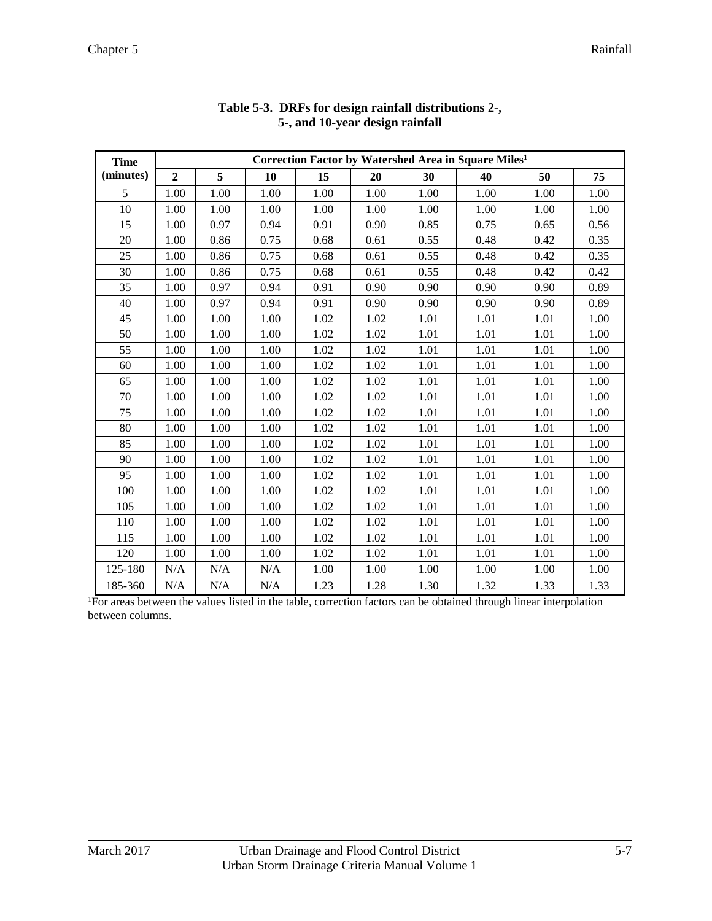<span id="page-8-0"></span>

| <b>Time</b> | Correction Factor by Watershed Area in Square Miles <sup>1</sup> |           |      |          |      |      |      |      |      |  |
|-------------|------------------------------------------------------------------|-----------|------|----------|------|------|------|------|------|--|
| (minutes)   | $\overline{2}$                                                   | 5         | 10   | 15       | 20   | 30   | 40   | 50   | 75   |  |
| 5           | 1.00                                                             | 1.00      | 1.00 | 1.00     | 1.00 | 1.00 | 1.00 | 1.00 | 1.00 |  |
| 10          | 1.00                                                             | 1.00      | 1.00 | 1.00     | 1.00 | 1.00 | 1.00 | 1.00 | 1.00 |  |
| 15          | 1.00                                                             | 0.97      | 0.94 | 0.91     | 0.90 | 0.85 | 0.75 | 0.65 | 0.56 |  |
| 20          | 1.00                                                             | 0.86      | 0.75 | 0.68     | 0.61 | 0.55 | 0.48 | 0.42 | 0.35 |  |
| 25          | 1.00                                                             | 0.86      | 0.75 | 0.68     | 0.61 | 0.55 | 0.48 | 0.42 | 0.35 |  |
| 30          | 1.00                                                             | 0.86      | 0.75 | 0.68     | 0.61 | 0.55 | 0.48 | 0.42 | 0.42 |  |
| 35          | 1.00                                                             | 0.97      | 0.94 | 0.91     | 0.90 | 0.90 | 0.90 | 0.90 | 0.89 |  |
| 40          | 1.00                                                             | 0.97      | 0.94 | 0.91     | 0.90 | 0.90 | 0.90 | 0.90 | 0.89 |  |
| 45          | 1.00                                                             | 1.00      | 1.00 | 1.02     | 1.02 | 1.01 | 1.01 | 1.01 | 1.00 |  |
| 50          | 1.00                                                             | 1.00      | 1.00 | 1.02     | 1.02 | 1.01 | 1.01 | 1.01 | 1.00 |  |
| 55          | 1.00                                                             | 1.00      | 1.00 | $1.02\,$ | 1.02 | 1.01 | 1.01 | 1.01 | 1.00 |  |
| 60          | 1.00                                                             | 1.00      | 1.00 | 1.02     | 1.02 | 1.01 | 1.01 | 1.01 | 1.00 |  |
| 65          | 1.00                                                             | 1.00      | 1.00 | 1.02     | 1.02 | 1.01 | 1.01 | 1.01 | 1.00 |  |
| 70          | 1.00                                                             | 1.00      | 1.00 | 1.02     | 1.02 | 1.01 | 1.01 | 1.01 | 1.00 |  |
| 75          | 1.00                                                             | 1.00      | 1.00 | 1.02     | 1.02 | 1.01 | 1.01 | 1.01 | 1.00 |  |
| 80          | 1.00                                                             | 1.00      | 1.00 | 1.02     | 1.02 | 1.01 | 1.01 | 1.01 | 1.00 |  |
| 85          | 1.00                                                             | 1.00      | 1.00 | 1.02     | 1.02 | 1.01 | 1.01 | 1.01 | 1.00 |  |
| 90          | 1.00                                                             | 1.00      | 1.00 | 1.02     | 1.02 | 1.01 | 1.01 | 1.01 | 1.00 |  |
| 95          | 1.00                                                             | 1.00      | 1.00 | 1.02     | 1.02 | 1.01 | 1.01 | 1.01 | 1.00 |  |
| 100         | 1.00                                                             | 1.00      | 1.00 | 1.02     | 1.02 | 1.01 | 1.01 | 1.01 | 1.00 |  |
| 105         | 1.00                                                             | 1.00      | 1.00 | $1.02\,$ | 1.02 | 1.01 | 1.01 | 1.01 | 1.00 |  |
| 110         | 1.00                                                             | 1.00      | 1.00 | 1.02     | 1.02 | 1.01 | 1.01 | 1.01 | 1.00 |  |
| 115         | 1.00                                                             | 1.00      | 1.00 | 1.02     | 1.02 | 1.01 | 1.01 | 1.01 | 1.00 |  |
| 120         | 1.00                                                             | 1.00      | 1.00 | 1.02     | 1.02 | 1.01 | 1.01 | 1.01 | 1.00 |  |
| 125-180     | N/A                                                              | N/A       | N/A  | 1.00     | 1.00 | 1.00 | 1.00 | 1.00 | 1.00 |  |
| 185-360     | N/A                                                              | $\rm N/A$ | N/A  | 1.23     | 1.28 | 1.30 | 1.32 | 1.33 | 1.33 |  |

#### **Table 5-3. DRFs for design rainfall distributions 2-, 5-, and 10-year design rainfall**

<sup>1</sup>For areas between the values listed in the table, correction factors can be obtained through linear interpolation between columns.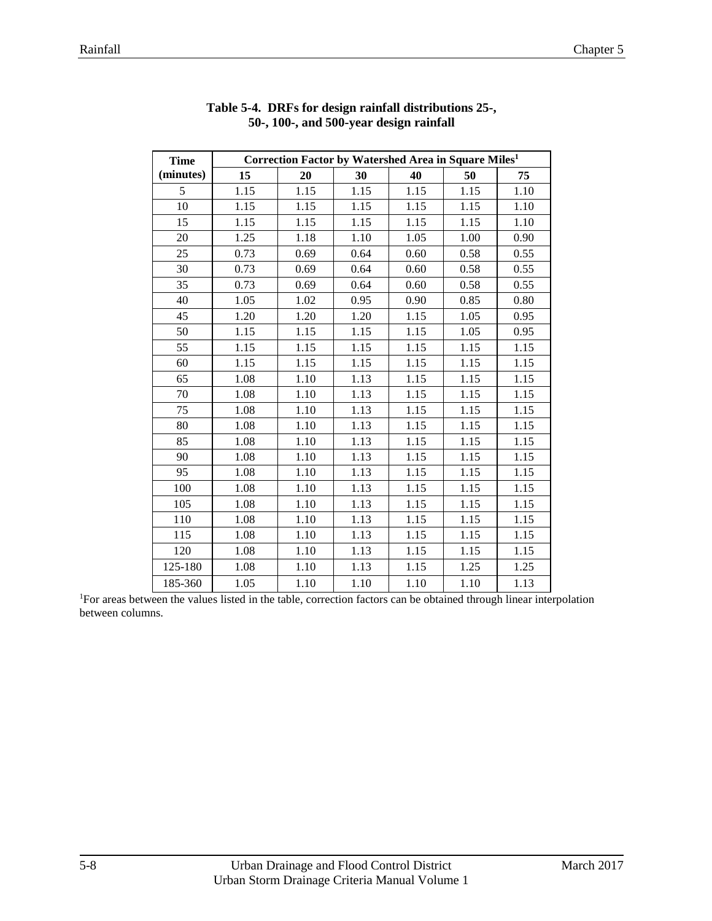<span id="page-9-0"></span>

| <b>Time</b> | Correction Factor by Watershed Area in Square Miles <sup>1</sup> |      |      |      |      |      |  |  |
|-------------|------------------------------------------------------------------|------|------|------|------|------|--|--|
| (minutes)   | 15                                                               | 20   | 30   | 40   | 50   | 75   |  |  |
| 5           | 1.15                                                             | 1.15 | 1.15 | 1.15 | 1.15 | 1.10 |  |  |
| 10          | 1.15                                                             | 1.15 | 1.15 | 1.15 | 1.15 | 1.10 |  |  |
| 15          | 1.15                                                             | 1.15 | 1.15 | 1.15 | 1.15 | 1.10 |  |  |
| 20          | 1.25                                                             | 1.18 | 1.10 | 1.05 | 1.00 | 0.90 |  |  |
| 25          | 0.73                                                             | 0.69 | 0.64 | 0.60 | 0.58 | 0.55 |  |  |
| 30          | 0.73                                                             | 0.69 | 0.64 | 0.60 | 0.58 | 0.55 |  |  |
| 35          | 0.73                                                             | 0.69 | 0.64 | 0.60 | 0.58 | 0.55 |  |  |
| 40          | 1.05                                                             | 1.02 | 0.95 | 0.90 | 0.85 | 0.80 |  |  |
| 45          | 1.20                                                             | 1.20 | 1.20 | 1.15 | 1.05 | 0.95 |  |  |
| 50          | 1.15                                                             | 1.15 | 1.15 | 1.15 | 1.05 | 0.95 |  |  |
| 55          | 1.15                                                             | 1.15 | 1.15 | 1.15 | 1.15 | 1.15 |  |  |
| 60          | 1.15                                                             | 1.15 | 1.15 | 1.15 | 1.15 | 1.15 |  |  |
| 65          | 1.08                                                             | 1.10 | 1.13 | 1.15 | 1.15 | 1.15 |  |  |
| 70          | 1.08                                                             | 1.10 | 1.13 | 1.15 | 1.15 | 1.15 |  |  |
| 75          | 1.08                                                             | 1.10 | 1.13 | 1.15 | 1.15 | 1.15 |  |  |
| 80          | 1.08                                                             | 1.10 | 1.13 | 1.15 | 1.15 | 1.15 |  |  |
| 85          | 1.08                                                             | 1.10 | 1.13 | 1.15 | 1.15 | 1.15 |  |  |
| 90          | 1.08                                                             | 1.10 | 1.13 | 1.15 | 1.15 | 1.15 |  |  |
| 95          | 1.08                                                             | 1.10 | 1.13 | 1.15 | 1.15 | 1.15 |  |  |
| 100         | 1.08                                                             | 1.10 | 1.13 | 1.15 | 1.15 | 1.15 |  |  |
| 105         | 1.08                                                             | 1.10 | 1.13 | 1.15 | 1.15 | 1.15 |  |  |
| 110         | 1.08                                                             | 1.10 | 1.13 | 1.15 | 1.15 | 1.15 |  |  |
| 115         | 1.08                                                             | 1.10 | 1.13 | 1.15 | 1.15 | 1.15 |  |  |
| 120         | 1.08                                                             | 1.10 | 1.13 | 1.15 | 1.15 | 1.15 |  |  |
| 125-180     | 1.08                                                             | 1.10 | 1.13 | 1.15 | 1.25 | 1.25 |  |  |
| 185-360     | 1.05                                                             | 1.10 | 1.10 | 1.10 | 1.10 | 1.13 |  |  |

|  |  | Table 5-4. DRFs for design rainfall distributions 25-, |  |
|--|--|--------------------------------------------------------|--|
|  |  | 50-, 100-, and 500-year design rainfall                |  |

<sup>1</sup>For areas between the values listed in the table, correction factors can be obtained through linear interpolation between columns.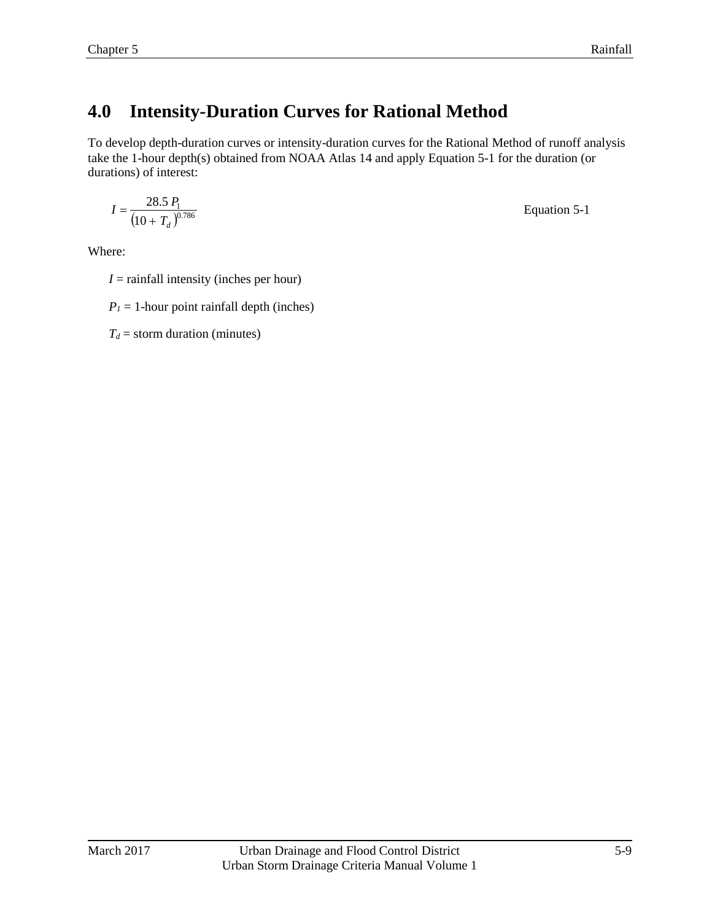# <span id="page-10-0"></span>**4.0 Intensity***-***Duration Curves for Rational Method**

To develop depth-duration curves or intensity-duration curves for the Rational Method of runoff analysis take the 1-hour depth(s) obtained from NOAA Atlas 14 and apply Equation 5-1 for the duration (or durations) of interest:

$$
I = \frac{28.5 P_1}{(10 + T_d)^{0.786}}
$$
 Equation 5-1

Where:

- $I =$  rainfall intensity (inches per hour)
- $P_1 = 1$ -hour point rainfall depth (inches)

 $T_d$  = storm duration (minutes)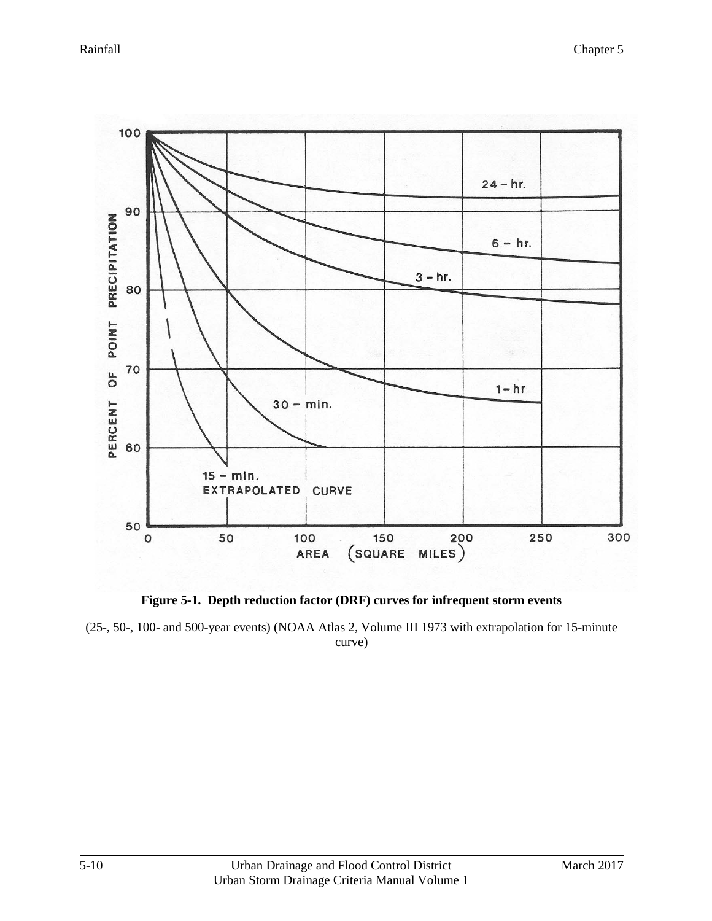

<span id="page-11-0"></span>**Figure 5-1. Depth reduction factor (DRF) curves for infrequent storm events**

(25-, 50-, 100- and 500-year events) (NOAA Atlas 2, Volume III 1973 with extrapolation for 15-minute curve)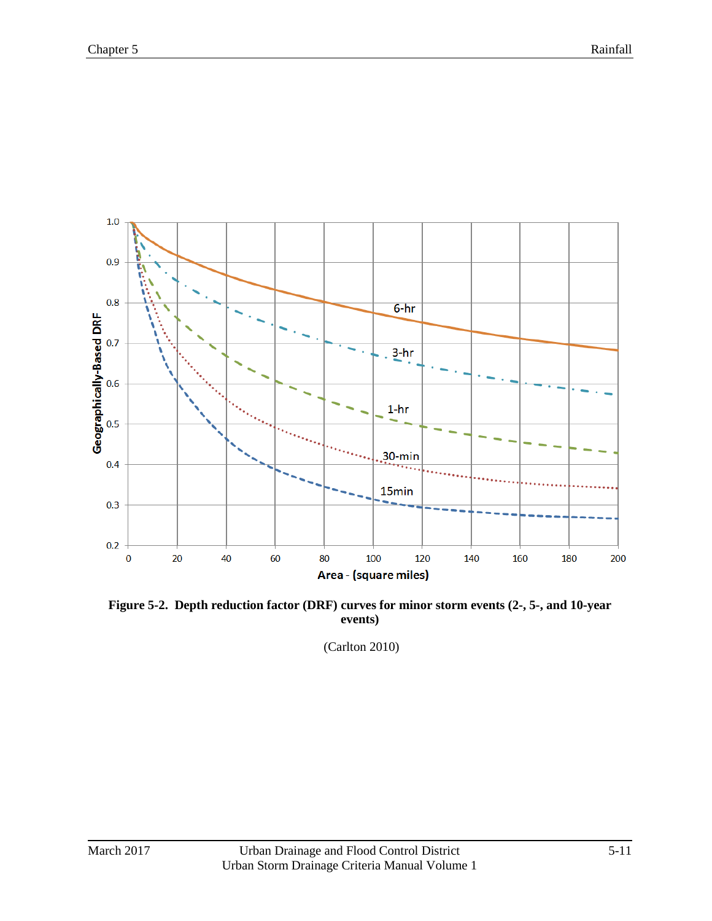

<span id="page-12-0"></span>**Figure 5-2. Depth reduction factor (DRF) curves for minor storm events (2-, 5-, and 10-year events)**

(Carlton 2010)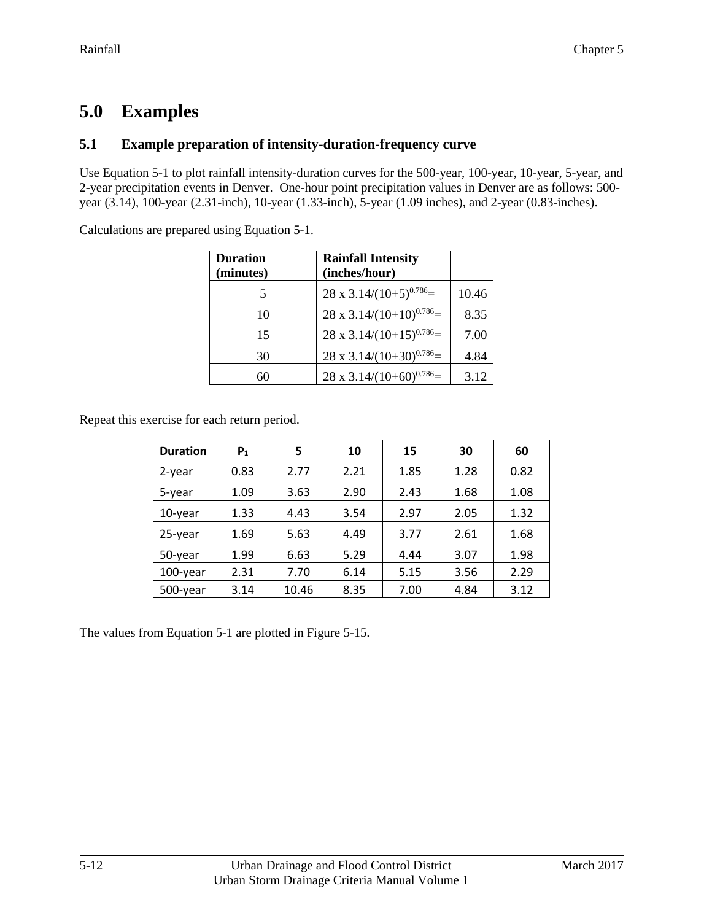## <span id="page-13-0"></span>**5.0 Examples**

#### <span id="page-13-1"></span>**5.1 Example preparation of intensity-duration-frequency curve**

Use Equation 5-1 to plot rainfall intensity-duration curves for the 500-year, 100-year, 10-year, 5-year, and 2-year precipitation events in Denver. One-hour point precipitation values in Denver are as follows: 500 year (3.14), 100-year (2.31-inch), 10-year (1.33-inch), 5-year (1.09 inches), and 2-year (0.83-inches).

Calculations are prepared using Equation 5-1.

| <b>Duration</b><br>(minutes) | <b>Rainfall Intensity</b><br>(inches/hour) |       |
|------------------------------|--------------------------------------------|-------|
| 5                            | $28 \times 3.14/(10+5)^{0.786}$            | 10.46 |
| 10                           | $28 \times 3.14/(10+10)^{0.786}$           | 8.35  |
| 15                           | $28 \times 3.14/(10+15)^{0.786}$           | 7.00  |
| 30                           | $28 \times 3.14/(10+30)^{0.786}$           | 4.84  |
| 60                           | $28 \times 3.14/(10+60)^{0.786}$           | 3.12  |

Repeat this exercise for each return period.

| <b>Duration</b> | P <sub>1</sub> | 5     | 10   | 15   | 30   | 60   |
|-----------------|----------------|-------|------|------|------|------|
| 2-year          | 0.83           | 2.77  | 2.21 | 1.85 | 1.28 | 0.82 |
| 5-year          | 1.09           | 3.63  | 2.90 | 2.43 | 1.68 | 1.08 |
| 10-year         | 1.33           | 4.43  | 3.54 | 2.97 | 2.05 | 1.32 |
| 25-year         | 1.69           | 5.63  | 4.49 | 3.77 | 2.61 | 1.68 |
| 50-year         | 1.99           | 6.63  | 5.29 | 4.44 | 3.07 | 1.98 |
| 100-year        | 2.31           | 7.70  | 6.14 | 5.15 | 3.56 | 2.29 |
| 500-year        | 3.14           | 10.46 | 8.35 | 7.00 | 4.84 | 3.12 |

The values from Equation 5-1 are plotted in Figure 5-15.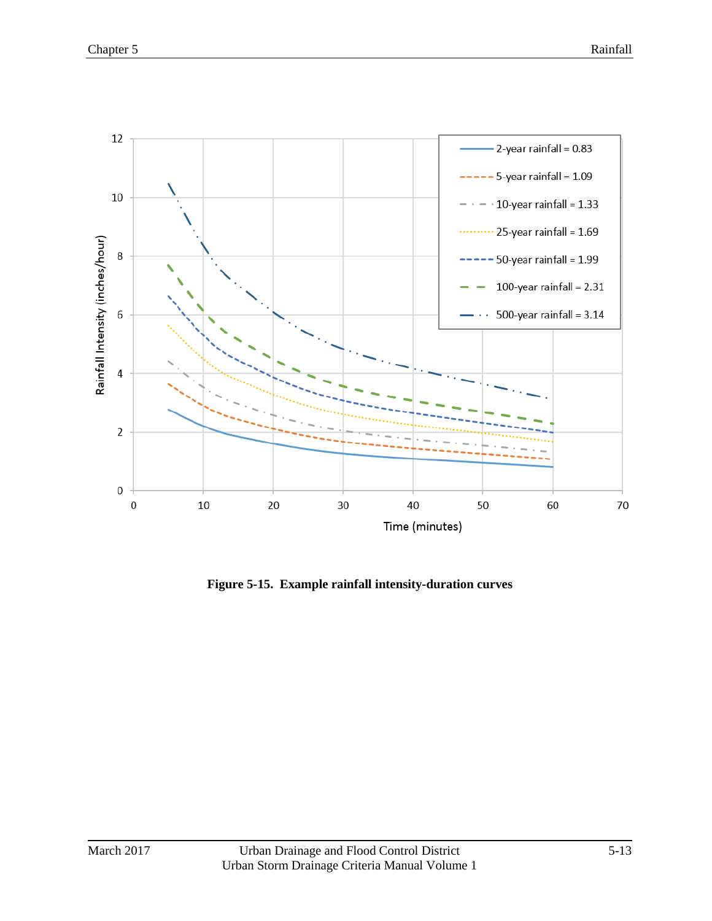![](_page_14_Figure_2.jpeg)

**Figure 5-15. Example rainfall intensity-duration curves**